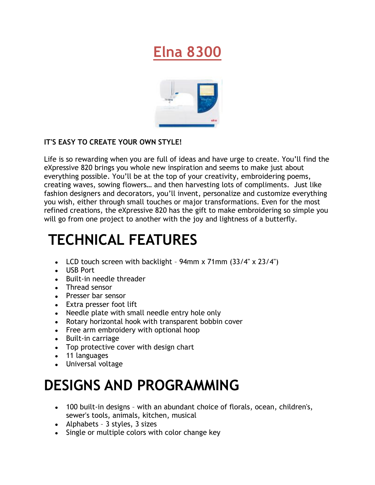## **Elna 8300**



#### **IT'S EASY TO CREATE YOUR OWN STYLE!**

Life is so rewarding when you are full of ideas and have urge to create. You'll find the eXpressive 820 brings you whole new inspiration and seems to make just about everything possible. You'll be at the top of your creativity, embroidering poems, creating waves, sowing flowers… and then harvesting lots of compliments. Just like fashion designers and decorators, you'll invent, personalize and customize everything you wish, either through small touches or major transformations. Even for the most refined creations, the eXpressive 820 has the gift to make embroidering so simple you will go from one project to another with the joy and lightness of a butterfly.

## **TECHNICAL FEATURES**

- LCD touch screen with backlight  $94$ mm x  $71$ mm  $(33/4" \times 23/4")$
- USB Port
- Built-in needle threader
- Thread sensor
- Presser bar sensor
- Extra presser foot lift
- Needle plate with small needle entry hole only
- Rotary horizontal hook with transparent bobbin cover
- Free arm embroidery with optional hoop
- Built-in carriage
- Top protective cover with design chart
- 11 languages
- Universal voltage

# **DESIGNS AND PROGRAMMING**

- 100 built-in designs with an abundant choice of florals, ocean, children's, sewer's tools, animals, kitchen, musical
- Alphabets 3 styles, 3 sizes
- Single or multiple colors with color change key